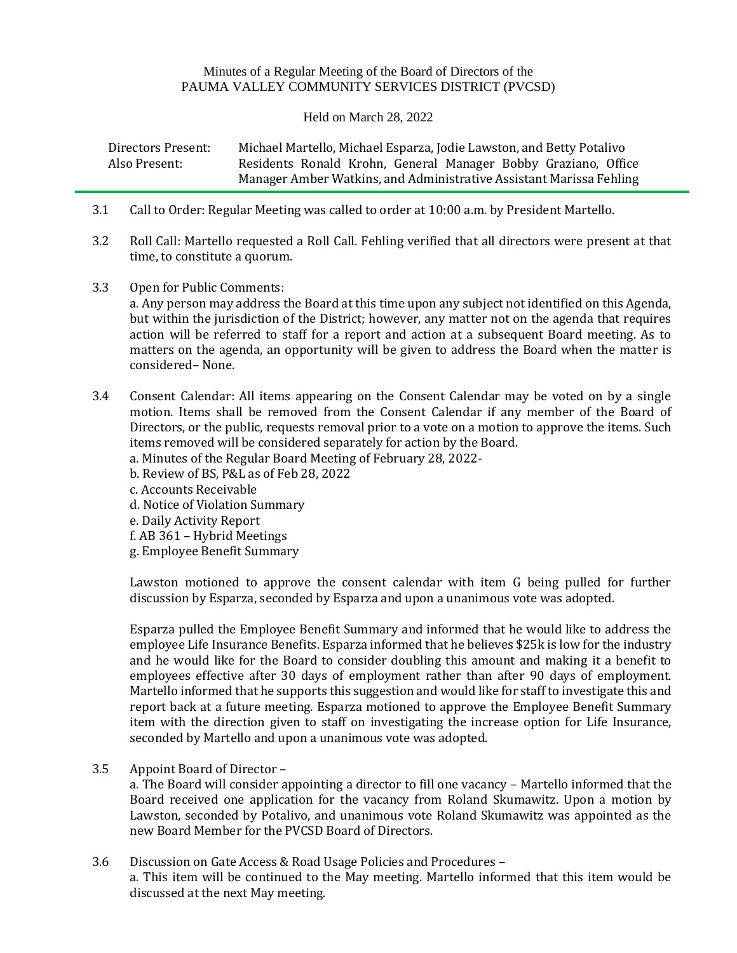## Minutes of a Regular Meeting of the Board of Directors of the PAUMA VALLEY COMMUNITY SERVICES DISTRICT (PVCSD)

Held on March 28, 2022

| Directors Present: | Michael Martello, Michael Esparza, Jodie Lawston, and Betty Potalivo |  |  |  |  |  |  |  |
|--------------------|----------------------------------------------------------------------|--|--|--|--|--|--|--|
| Also Present:      | Residents Ronald Krohn, General Manager Bobby Graziano, Office       |  |  |  |  |  |  |  |
|                    | Manager Amber Watkins, and Administrative Assistant Marissa Fehling  |  |  |  |  |  |  |  |

- 3.1 Call to Order: Regular Meeting was called to order at 10:00 a.m. by President Martello.
- 3.2 Roll Call: Martello requested a Roll Call. Fehling verified that all directors were present at that time, to constitute a quorum.
- 3.3 Open for Public Comments: a. Any person may address the Board at this time upon any subject not identified on this Agenda, but within the jurisdiction of the District; however, any matter not on the agenda that requires action will be referred to staff for a report and action at a subsequent Board meeting. As to matters on the agenda, an opportunity will be given to address the Board when the matter is considered– None.
- 3.4 Consent Calendar: All items appearing on the Consent Calendar may be voted on by a single motion. Items shall be removed from the Consent Calendar if any member of the Board of Directors, or the public, requests removal prior to a vote on a motion to approve the items. Such items removed will be considered separately for action by the Board.
	- a. Minutes of the Regular Board Meeting of February 28, 2022-
	- b. Review of BS, P&L as of Feb 28, 2022
	- c. Accounts Receivable
	- d. Notice of Violation Summary
	- e. Daily Activity Report
	- f. AB 361 Hybrid Meetings
	- g. Employee Benefit Summary

Lawston motioned to approve the consent calendar with item G being pulled for further discussion by Esparza, seconded by Esparza and upon a unanimous vote was adopted.

Esparza pulled the Employee Benefit Summary and informed that he would like to address the employee Life Insurance Benefits. Esparza informed that he believes \$25k is low for the industry and he would like for the Board to consider doubling this amount and making it a benefit to employees effective after 30 days of employment rather than after 90 days of employment. Martello informed that he supports this suggestion and would like for staff to investigate this and report back at a future meeting. Esparza motioned to approve the Employee Benefit Summary item with the direction given to staff on investigating the increase option for Life Insurance, seconded by Martello and upon a unanimous vote was adopted.

3.5 Appoint Board of Director –

a. The Board will consider appointing a director to fill one vacancy – Martello informed that the Board received one application for the vacancy from Roland Skumawitz. Upon a motion by Lawston, seconded by Potalivo, and unanimous vote Roland Skumawitz was appointed as the new Board Member for the PVCSD Board of Directors.

3.6 Discussion on Gate Access & Road Usage Policies and Procedures – a. This item will be continued to the May meeting. Martello informed that this item would be discussed at the next May meeting.